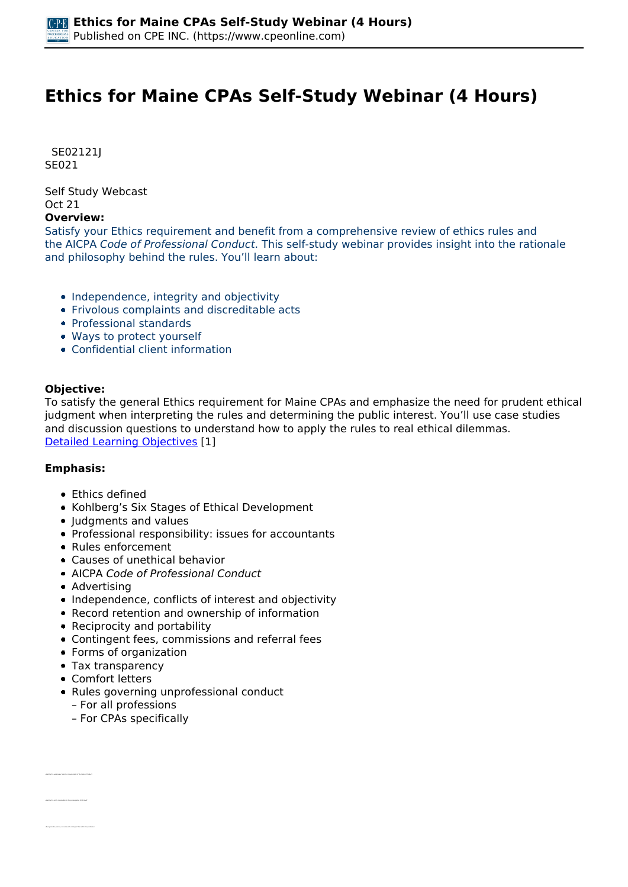# **Ethics for Maine CPAs Self-Study Webinar (4 Hours)**

 *SE02121J SE021* 

*Self Study Webcast Oct 21* 

#### **Overview:**

*Satisfy your Ethics requirement and benefit from a comprehensive review of ethics rules and the AICPA Code of Professional Conduct. This self-study webinar provides insight into the rationale and philosophy behind the rules. You'll learn about:*

- *Independence, integrity and objectivity*
- *Frivolous complaints and discreditable acts*
- *Professional standards*
- *Ways to protect yourself*
- *Confidential client information*

### **Objective:**

*To satisfy the general Ethics requirement for Maine CPAs and emphasize the need for prudent ethical judgment when interpreting the rules and determining the public interest. You'll use case studies and discussion questions to understand how to apply the rules to real ethical dilemmas. [Detailed Learning Objectives](https://www.cpeonline.com/JavaScript:showObjectivesPopup();) [1]*

### **Emphasis:**

- *Ethics defined*
- *Kohlberg's Six Stages of Ethical Development*
- *Judgments and values*
- *Professional responsibility: issues for accountants*
- *Rules enforcement*
- *Causes of unethical behavior*
- *AICPA Code of Professional Conduct*
- *Advertising*
- *Independence, conflicts of interest and objectivity*
- *Record retention and ownership of information*
- *Reciprocity and portability*
- *Contingent fees, commissions and referral fees*
- *Forms of organization*
- *Tax transparency*
- *Comfort letters*

*• Identify the work paper retention requirements of the Code of Conduct*

- *Rules governing unprofessional conduct*
	- *For all professions*
	- *For CPAs specifically*